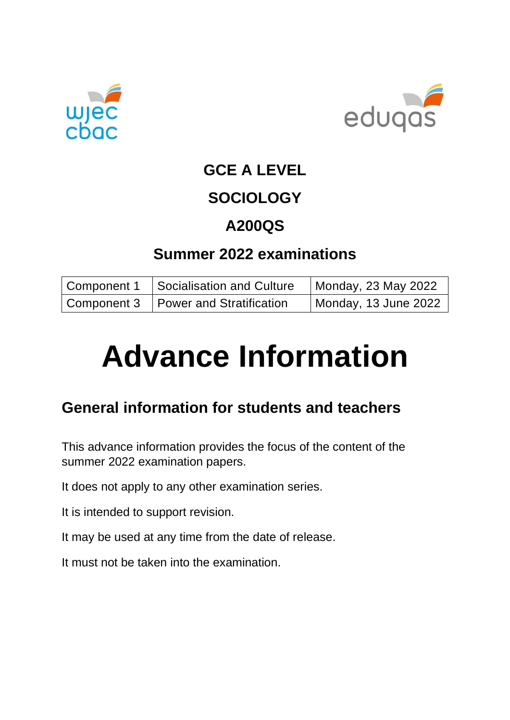



# **GCE A LEVEL**

## **SOCIOLOGY**

## **A200QS**

## **Summer 2022 examinations**

| Component 1 | Socialisation and Culture              | Monday, 23 May 2022  |
|-------------|----------------------------------------|----------------------|
|             | Component 3   Power and Stratification | Monday, 13 June 2022 |

# **Advance Information**

## **General information for students and teachers**

This advance information provides the focus of the content of the summer 2022 examination papers.

It does not apply to any other examination series.

It is intended to support revision.

It may be used at any time from the date of release.

It must not be taken into the examination.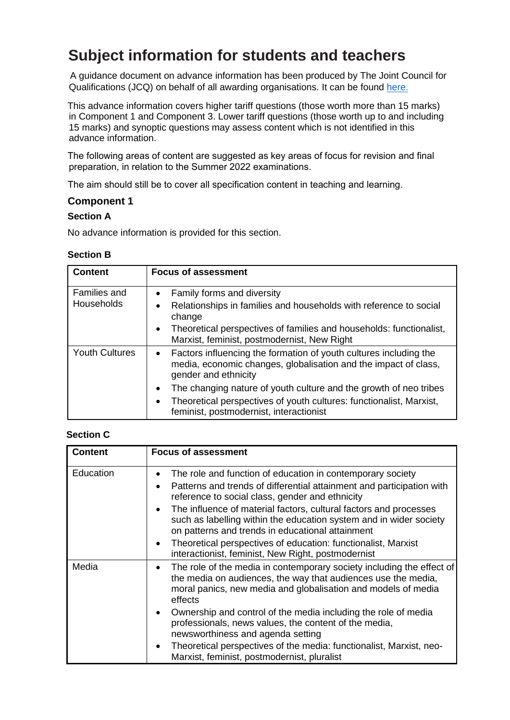## **Subject information for students and teachers**

A guidance document on advance information has been produced by The Joint Council for Qualifications (JCQ) on behalf of all awarding organisations. It can be found [here.](https://www.jcq.org.uk/wp-content/uploads/2021/10/Advance-Information-for-General-Qualifications-2021-22.pdf)

This advance information covers higher tariff questions (those worth more than 15 marks) in Component 1 and Component 3. Lower tariff questions (those worth up to and including 15 marks) and synoptic questions may assess content which is not identified in this advance information.

The following areas of content are suggested as key areas of focus for revision and final preparation, in relation to the Summer 2022 examinations.

The aim should still be to cover all specification content in teaching and learning.

#### **Component 1**

#### **Section A**

No advance information is provided for this section.

#### **Section B**

| <b>Content</b>             | <b>Focus of assessment</b>                                                                                                                                                                                                                                             |
|----------------------------|------------------------------------------------------------------------------------------------------------------------------------------------------------------------------------------------------------------------------------------------------------------------|
| Families and<br>Households | Family forms and diversity<br>$\bullet$<br>Relationships in families and households with reference to social<br>$\bullet$<br>change<br>Theoretical perspectives of families and households: functionalist,<br>$\bullet$<br>Marxist, feminist, postmodernist, New Right |
| <b>Youth Cultures</b>      | • Factors influencing the formation of youth cultures including the<br>media, economic changes, globalisation and the impact of class,<br>gender and ethnicity                                                                                                         |
|                            | The changing nature of youth culture and the growth of neo tribes<br>$\bullet$<br>Theoretical perspectives of youth cultures: functionalist, Marxist,<br>$\bullet$<br>feminist, postmodernist, interactionist                                                          |

#### **Section C**

| <b>Content</b> | <b>Focus of assessment</b>                                                                                                                                                                                                                                                                                                                                                                                                                                                                                                                          |
|----------------|-----------------------------------------------------------------------------------------------------------------------------------------------------------------------------------------------------------------------------------------------------------------------------------------------------------------------------------------------------------------------------------------------------------------------------------------------------------------------------------------------------------------------------------------------------|
| Education      | The role and function of education in contemporary society<br>$\bullet$<br>Patterns and trends of differential attainment and participation with<br>$\bullet$<br>reference to social class, gender and ethnicity<br>The influence of material factors, cultural factors and processes<br>such as labelling within the education system and in wider society<br>on patterns and trends in educational attainment<br>Theoretical perspectives of education: functionalist, Marxist<br>$\bullet$<br>interactionist, feminist, New Right, postmodernist |
| Media          | The role of the media in contemporary society including the effect of<br>$\bullet$<br>the media on audiences, the way that audiences use the media,<br>moral panics, new media and globalisation and models of media<br>effects<br>Ownership and control of the media including the role of media<br>professionals, news values, the content of the media,<br>newsworthiness and agenda setting<br>Theoretical perspectives of the media: functionalist, Marxist, neo-<br>$\bullet$<br>Marxist, feminist, postmodernist, pluralist                  |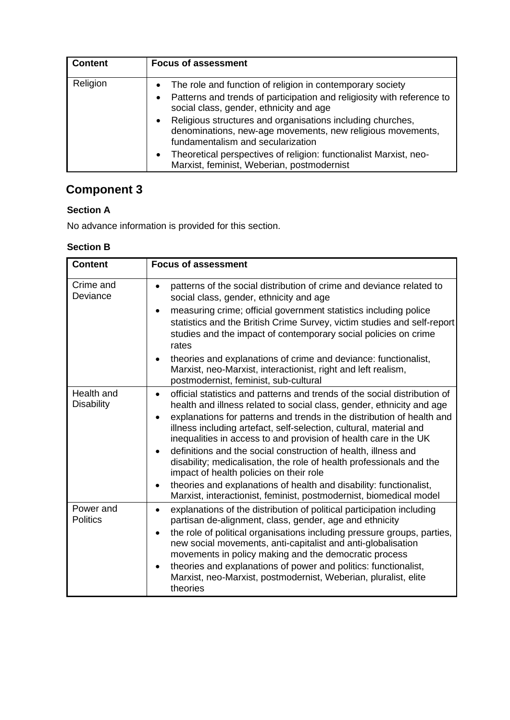| <b>Content</b> | <b>Focus of assessment</b>                                                                                                                                                                                                                                                                                                                                                                                                                                                                                             |
|----------------|------------------------------------------------------------------------------------------------------------------------------------------------------------------------------------------------------------------------------------------------------------------------------------------------------------------------------------------------------------------------------------------------------------------------------------------------------------------------------------------------------------------------|
| Religion       | The role and function of religion in contemporary society<br>$\bullet$<br>Patterns and trends of participation and religiosity with reference to<br>$\bullet$<br>social class, gender, ethnicity and age<br>Religious structures and organisations including churches,<br>$\bullet$<br>denominations, new-age movements, new religious movements,<br>fundamentalism and secularization<br>Theoretical perspectives of religion: functionalist Marxist, neo-<br>$\bullet$<br>Marxist, feminist, Weberian, postmodernist |

## **Component 3**

### **Section A**

No advance information is provided for this section.

### **Section B**

| <b>Content</b>                  | <b>Focus of assessment</b>                                                                                                                                                                                                                                                                                                                                                                                                                                                                                                                                                                                                                                                                                                             |
|---------------------------------|----------------------------------------------------------------------------------------------------------------------------------------------------------------------------------------------------------------------------------------------------------------------------------------------------------------------------------------------------------------------------------------------------------------------------------------------------------------------------------------------------------------------------------------------------------------------------------------------------------------------------------------------------------------------------------------------------------------------------------------|
| Crime and<br>Deviance           | patterns of the social distribution of crime and deviance related to<br>$\bullet$<br>social class, gender, ethnicity and age<br>measuring crime; official government statistics including police<br>statistics and the British Crime Survey, victim studies and self-report<br>studies and the impact of contemporary social policies on crime<br>rates<br>theories and explanations of crime and deviance: functionalist,<br>٠<br>Marxist, neo-Marxist, interactionist, right and left realism,<br>postmodernist, feminist, sub-cultural                                                                                                                                                                                              |
| Health and<br><b>Disability</b> | official statistics and patterns and trends of the social distribution of<br>$\bullet$<br>health and illness related to social class, gender, ethnicity and age<br>explanations for patterns and trends in the distribution of health and<br>$\bullet$<br>illness including artefact, self-selection, cultural, material and<br>inequalities in access to and provision of health care in the UK<br>definitions and the social construction of health, illness and<br>disability; medicalisation, the role of health professionals and the<br>impact of health policies on their role<br>theories and explanations of health and disability: functionalist,<br>٠<br>Marxist, interactionist, feminist, postmodernist, biomedical model |
| Power and<br><b>Politics</b>    | explanations of the distribution of political participation including<br>$\bullet$<br>partisan de-alignment, class, gender, age and ethnicity<br>the role of political organisations including pressure groups, parties,<br>$\bullet$<br>new social movements, anti-capitalist and anti-globalisation<br>movements in policy making and the democratic process<br>theories and explanations of power and politics: functionalist,<br>$\bullet$<br>Marxist, neo-Marxist, postmodernist, Weberian, pluralist, elite<br>theories                                                                                                                                                                                                          |